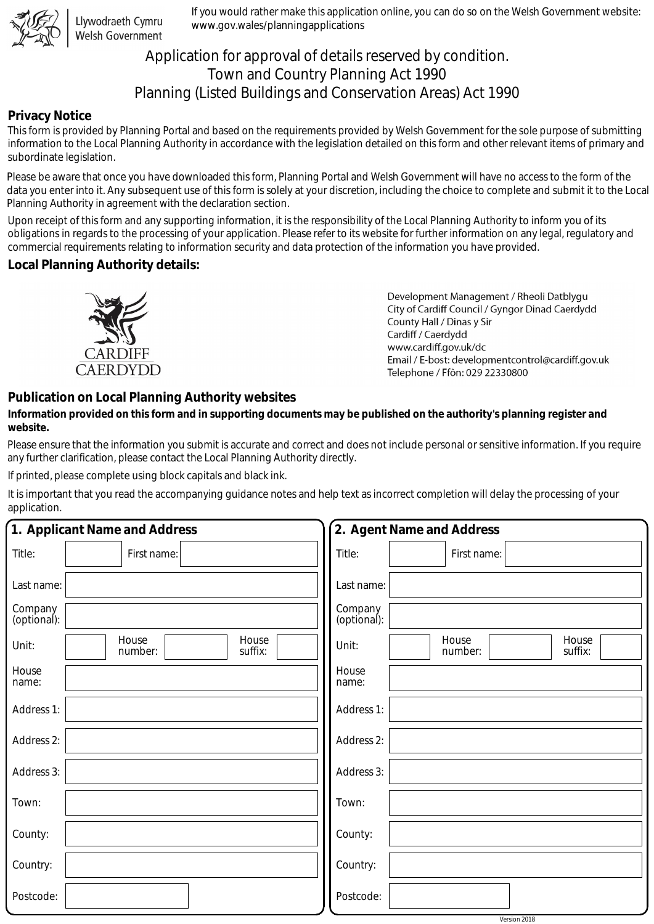

Llywodraeth Cymru Welsh Government

If you would rather make this application online, you can do so on the Welsh Government website: www.gov.wales/planningapplications

# Application for approval of details reserved by condition. Town and Country Planning Act 1990 Planning (Listed Buildings and Conservation Areas) Act 1990

## **Privacy Notice**

This form is provided by Planning Portal and based on the requirements provided by Welsh Government for the sole purpose of submitting information to the Local Planning Authority in accordance with the legislation detailed on this form and other relevant items of primary and subordinate legislation.

Please be aware that once you have downloaded this form, Planning Portal and Welsh Government will have no access to the form of the data you enter into it. Any subsequent use of this form is solely at your discretion, including the choice to complete and submit it to the Local Planning Authority in agreement with the declaration section.

Upon receipt of this form and any supporting information, it is the responsibility of the Local Planning Authority to inform you of its obligations in regards to the processing of your application. Please refer to its website for further information on any legal, regulatory and commercial requirements relating to information security and data protection of the information you have provided.

### **Local Planning Authority details:**



Development Management / Rheoli Datblygu City of Cardiff Council / Gyngor Dinad Caerdydd County Hall / Dinas y Sir Cardiff / Caerdydd www.cardiff.gov.uk/dc Email / E-bost: developmentcontrol@cardiff.gov.uk Telephone / Ffôn: 029 22330800

## **Publication on Local Planning Authority websites**

#### **Information provided on this form and in supporting documents may be published on the authority's planning register and website.**

Please ensure that the information you submit is accurate and correct and does not include personal or sensitive information. If you require any further clarification, please contact the Local Planning Authority directly.

If printed, please complete using block capitals and black ink.

It is important that you read the accompanying guidance notes and help text as incorrect completion will delay the processing of your application.

|                        | 1. Applicant Name and Address        | 2. Agent Name and Address                     |  |  |
|------------------------|--------------------------------------|-----------------------------------------------|--|--|
| Title:                 | First name:                          | Title:<br>First name:                         |  |  |
| Last name:             |                                      | Last name:                                    |  |  |
| Company<br>(optional): |                                      | Company<br>(optional):                        |  |  |
| Unit:                  | House<br>House<br>number:<br>suffix: | House<br>House<br>Unit:<br>number:<br>suffix: |  |  |
| House<br>name:         |                                      | House<br>name:                                |  |  |
| Address 1:             |                                      | Address 1:                                    |  |  |
| Address 2:             |                                      | Address 2:                                    |  |  |
| Address 3:             |                                      | Address 3:                                    |  |  |
| Town:                  |                                      | Town:                                         |  |  |
| County:                |                                      | County:                                       |  |  |
| Country:               |                                      | Country:                                      |  |  |
| Postcode:              |                                      | Postcode:                                     |  |  |
|                        |                                      | Version 2018                                  |  |  |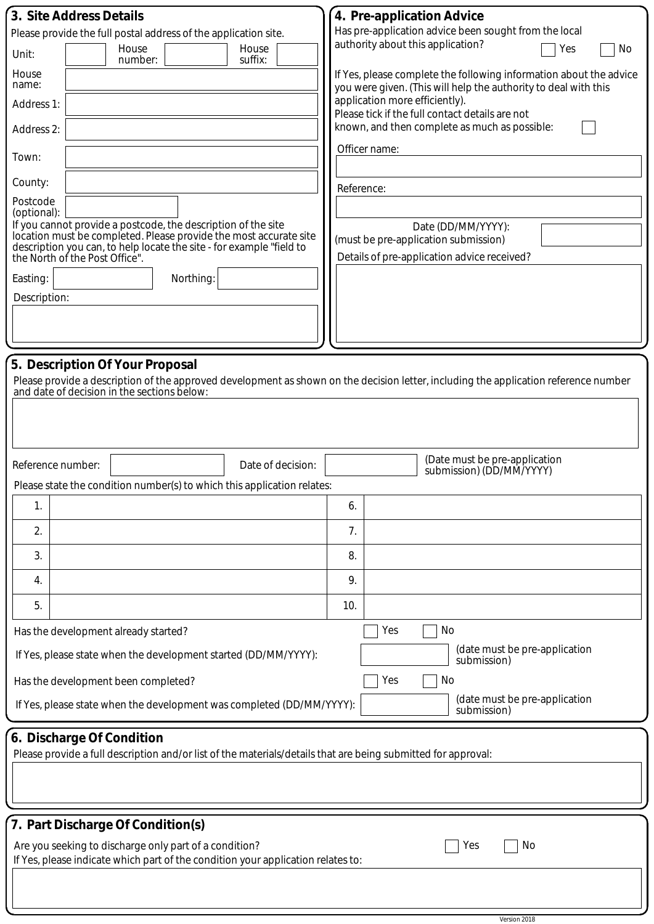| 3. Site Address Details                                                                                               |                                                                                                                                           |                   |            | 4. Pre-application Advice                                                                                                             |  |  |  |
|-----------------------------------------------------------------------------------------------------------------------|-------------------------------------------------------------------------------------------------------------------------------------------|-------------------|------------|---------------------------------------------------------------------------------------------------------------------------------------|--|--|--|
| Please provide the full postal address of the application site.                                                       |                                                                                                                                           |                   |            | Has pre-application advice been sought from the local                                                                                 |  |  |  |
| Unit:                                                                                                                 | House<br>number:                                                                                                                          | House<br>suffix:  |            | authority about this application?<br>Yes<br>No                                                                                        |  |  |  |
| House<br>name:                                                                                                        |                                                                                                                                           |                   |            | If Yes, please complete the following information about the advice<br>you were given. (This will help the authority to deal with this |  |  |  |
| Address 1:                                                                                                            |                                                                                                                                           |                   |            | application more efficiently).<br>Please tick if the full contact details are not                                                     |  |  |  |
| Address 2:                                                                                                            |                                                                                                                                           |                   |            | known, and then complete as much as possible:                                                                                         |  |  |  |
| Town:                                                                                                                 |                                                                                                                                           |                   |            | Officer name:                                                                                                                         |  |  |  |
| County:                                                                                                               |                                                                                                                                           |                   | Reference: |                                                                                                                                       |  |  |  |
| Postcode<br>(optional):                                                                                               |                                                                                                                                           |                   |            |                                                                                                                                       |  |  |  |
|                                                                                                                       | If you cannot provide a postcode, the description of the site                                                                             |                   |            | Date (DD/MM/YYYY):                                                                                                                    |  |  |  |
|                                                                                                                       | location must be completed. Please provide the most accurate site<br>description you can, to help locate the site - for example "field to |                   |            | (must be pre-application submission)                                                                                                  |  |  |  |
|                                                                                                                       | the North of the Post Office".                                                                                                            |                   |            | Details of pre-application advice received?                                                                                           |  |  |  |
| Easting:                                                                                                              | Northing:                                                                                                                                 |                   |            |                                                                                                                                       |  |  |  |
| Description:                                                                                                          |                                                                                                                                           |                   |            |                                                                                                                                       |  |  |  |
|                                                                                                                       |                                                                                                                                           |                   |            |                                                                                                                                       |  |  |  |
|                                                                                                                       |                                                                                                                                           |                   |            |                                                                                                                                       |  |  |  |
|                                                                                                                       | 5. Description Of Your Proposal                                                                                                           |                   |            |                                                                                                                                       |  |  |  |
|                                                                                                                       |                                                                                                                                           |                   |            | Please provide a description of the approved development as shown on the decision letter, including the application reference number  |  |  |  |
|                                                                                                                       | and date of decision in the sections below:                                                                                               |                   |            |                                                                                                                                       |  |  |  |
|                                                                                                                       |                                                                                                                                           |                   |            |                                                                                                                                       |  |  |  |
|                                                                                                                       |                                                                                                                                           |                   |            |                                                                                                                                       |  |  |  |
|                                                                                                                       |                                                                                                                                           |                   |            |                                                                                                                                       |  |  |  |
| Reference number:                                                                                                     |                                                                                                                                           | Date of decision: |            | (Date must be pre-application<br>submission) (DD/MM/YYYY)                                                                             |  |  |  |
|                                                                                                                       | Please state the condition number(s) to which this application relates:                                                                   |                   |            |                                                                                                                                       |  |  |  |
| 1.                                                                                                                    |                                                                                                                                           |                   | 6.         |                                                                                                                                       |  |  |  |
| 2.                                                                                                                    |                                                                                                                                           |                   | 7.         |                                                                                                                                       |  |  |  |
| 3.                                                                                                                    |                                                                                                                                           |                   | 8.         |                                                                                                                                       |  |  |  |
| 4.                                                                                                                    |                                                                                                                                           |                   | 9.         |                                                                                                                                       |  |  |  |
| 5.                                                                                                                    |                                                                                                                                           |                   | 10.        |                                                                                                                                       |  |  |  |
|                                                                                                                       | Has the development already started?                                                                                                      |                   |            | Yes<br>No                                                                                                                             |  |  |  |
|                                                                                                                       | (date must be pre-application<br>If Yes, please state when the development started (DD/MM/YYYY):<br>submission)                           |                   |            |                                                                                                                                       |  |  |  |
| Has the development been completed?<br>Yes<br>No                                                                      |                                                                                                                                           |                   |            |                                                                                                                                       |  |  |  |
| (date must be pre-application<br>If Yes, please state when the development was completed (DD/MM/YYYY):<br>submission) |                                                                                                                                           |                   |            |                                                                                                                                       |  |  |  |
|                                                                                                                       | 6. Discharge Of Condition                                                                                                                 |                   |            |                                                                                                                                       |  |  |  |
| Please provide a full description and/or list of the materials/details that are being submitted for approval:         |                                                                                                                                           |                   |            |                                                                                                                                       |  |  |  |
|                                                                                                                       |                                                                                                                                           |                   |            |                                                                                                                                       |  |  |  |
|                                                                                                                       |                                                                                                                                           |                   |            |                                                                                                                                       |  |  |  |
|                                                                                                                       |                                                                                                                                           |                   |            |                                                                                                                                       |  |  |  |
| 7. Part Discharge Of Condition(s)                                                                                     |                                                                                                                                           |                   |            |                                                                                                                                       |  |  |  |
| Are you seeking to discharge only part of a condition?<br>No<br>Yes                                                   |                                                                                                                                           |                   |            |                                                                                                                                       |  |  |  |
| If Yes, please indicate which part of the condition your application relates to:                                      |                                                                                                                                           |                   |            |                                                                                                                                       |  |  |  |
|                                                                                                                       |                                                                                                                                           |                   |            |                                                                                                                                       |  |  |  |
|                                                                                                                       |                                                                                                                                           |                   |            |                                                                                                                                       |  |  |  |

Version 2018